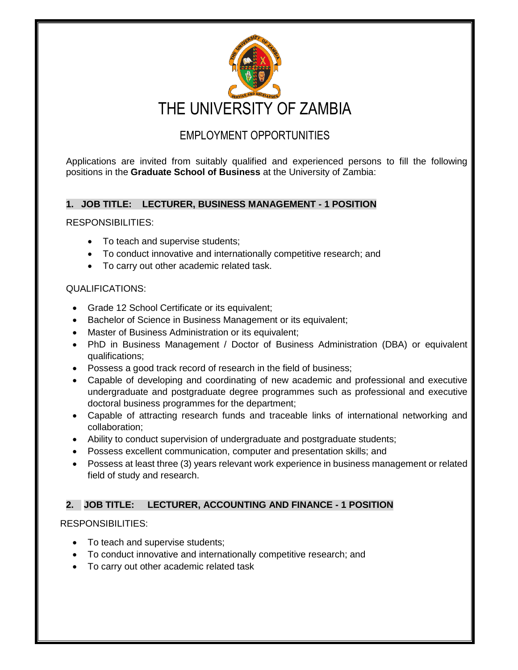

# EMPLOYMENT OPPORTUNITIES

Applications are invited from suitably qualified and experienced persons to fill the following positions in the **Graduate School of Business** at the University of Zambia:

## **1. JOB TITLE: LECTURER, BUSINESS MANAGEMENT - 1 POSITION**

RESPONSIBILITIES:

- To teach and supervise students;
- To conduct innovative and internationally competitive research; and
- To carry out other academic related task.

## QUALIFICATIONS:

- Grade 12 School Certificate or its equivalent;
- Bachelor of Science in Business Management or its equivalent;
- Master of Business Administration or its equivalent;
- PhD in Business Management / Doctor of Business Administration (DBA) or equivalent qualifications;
- Possess a good track record of research in the field of business;
- Capable of developing and coordinating of new academic and professional and executive undergraduate and postgraduate degree programmes such as professional and executive doctoral business programmes for the department;
- Capable of attracting research funds and traceable links of international networking and collaboration;
- Ability to conduct supervision of undergraduate and postgraduate students;
- Possess excellent communication, computer and presentation skills; and
- Possess at least three (3) years relevant work experience in business management or related field of study and research.

## **2. JOB TITLE: LECTURER, ACCOUNTING AND FINANCE - 1 POSITION**

## RESPONSIBILITIES:

- To teach and supervise students;
- To conduct innovative and internationally competitive research; and
- To carry out other academic related task